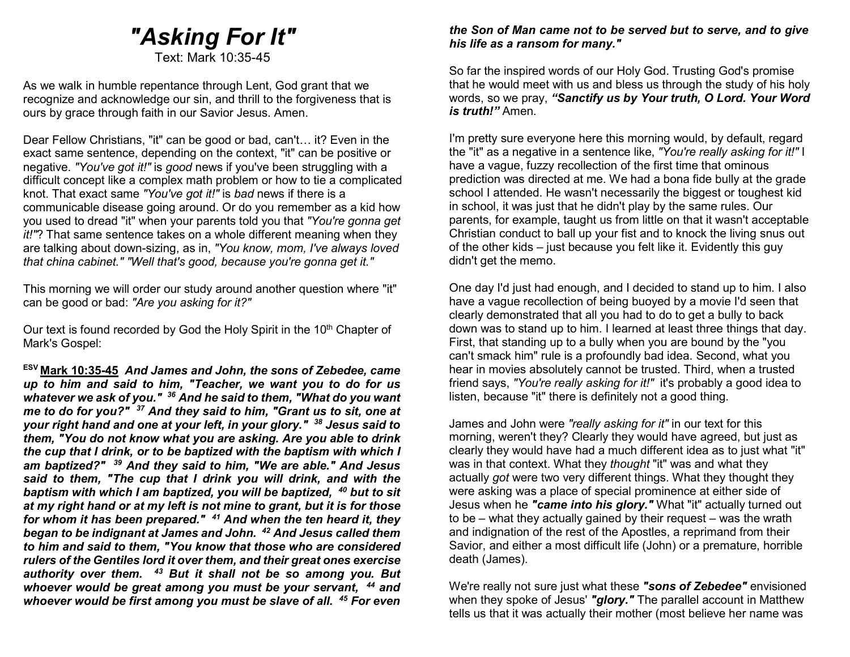# "Asking For It"

Text: Mark 10:35-45

As we walk in humble repentance through Lent, God grant that we recognize and acknowledge our sin, and thrill to the forgiveness that is ours by grace through faith in our Savior Jesus. Amen.

Dear Fellow Christians, "it" can be good or bad, can't… it? Even in the exact same sentence, depending on the context, "it" can be positive or negative. "You've got it!" is good news if you've been struggling with a difficult concept like a complex math problem or how to tie a complicated knot. That exact same "You've got it!" is bad news if there is a communicable disease going around. Or do you remember as a kid how you used to dread "it" when your parents told you that "You're gonna get it!"? That same sentence takes on a whole different meaning when they are talking about down-sizing, as in, "You know, mom, I've always loved that china cabinet." "Well that's good, because you're gonna get it."

This morning we will order our study around another question where "it" can be good or bad: "Are you asking for it?"

Our text is found recorded by God the Holy Spirit in the 10<sup>th</sup> Chapter of Mark's Gospel:

ESV Mark 10:35-45 And James and John, the sons of Zebedee, came up to him and said to him, "Teacher, we want you to do for us whatever we ask of you." <sup>36</sup> And he said to them, "What do you want me to do for you?" <sup>37</sup> And they said to him, "Grant us to sit, one at your right hand and one at your left, in your glory." 38 Jesus said to them, "You do not know what you are asking. Are you able to drink the cup that I drink, or to be baptized with the baptism with which I am baptized?" <sup>39</sup> And they said to him, "We are able." And Jesus said to them, "The cup that I drink you will drink, and with the baptism with which I am baptized, you will be baptized,  $40$  but to sit at my right hand or at my left is not mine to grant, but it is for those for whom it has been prepared."  $41$  And when the ten heard it, they began to be indignant at James and John. <sup>42</sup> And Jesus called them to him and said to them, "You know that those who are considered rulers of the Gentiles lord it over them, and their great ones exercise authority over them.  $43$  But it shall not be so among you. But whoever would be great among you must be your servant, <sup>44</sup> and whoever would be first among you must be slave of all. <sup>45</sup> For even

#### the Son of Man came not to be served but to serve, and to give his life as a ransom for many."

So far the inspired words of our Holy God. Trusting God's promise that he would meet with us and bless us through the study of his holy words, so we pray, "Sanctify us by Your truth, O Lord. Your Word is truth!" Amen.

I'm pretty sure everyone here this morning would, by default, regard the "it" as a negative in a sentence like, "You're really asking for it!" I have a vague, fuzzy recollection of the first time that ominous prediction was directed at me. We had a bona fide bully at the grade school I attended. He wasn't necessarily the biggest or toughest kid in school, it was just that he didn't play by the same rules. Our parents, for example, taught us from little on that it wasn't acceptable Christian conduct to ball up your fist and to knock the living snus out of the other kids – just because you felt like it. Evidently this guy didn't get the memo.

One day I'd just had enough, and I decided to stand up to him. I also have a vague recollection of being buoyed by a movie I'd seen that clearly demonstrated that all you had to do to get a bully to back down was to stand up to him. I learned at least three things that day. First, that standing up to a bully when you are bound by the "you can't smack him" rule is a profoundly bad idea. Second, what you hear in movies absolutely cannot be trusted. Third, when a trusted friend says, "You're really asking for it!" it's probably a good idea to listen, because "it" there is definitely not a good thing.

James and John were "really asking for it" in our text for this morning, weren't they? Clearly they would have agreed, but just as clearly they would have had a much different idea as to just what "it" was in that context. What they thought "it" was and what they actually got were two very different things. What they thought they were asking was a place of special prominence at either side of Jesus when he "came into his glory." What "it" actually turned out to be – what they actually gained by their request – was the wrath and indignation of the rest of the Apostles, a reprimand from their Savior, and either a most difficult life (John) or a premature, horrible death (James).

We're really not sure just what these "sons of Zebedee" envisioned when they spoke of Jesus' "glory." The parallel account in Matthew tells us that it was actually their mother (most believe her name was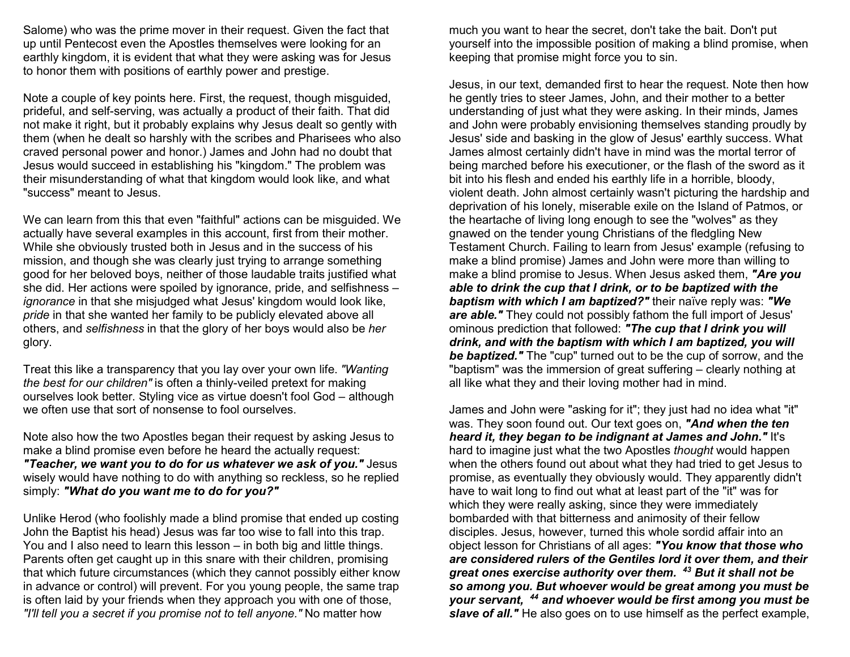Salome) who was the prime mover in their request. Given the fact that up until Pentecost even the Apostles themselves were looking for an earthly kingdom, it is evident that what they were asking was for Jesus to honor them with positions of earthly power and prestige.

Note a couple of key points here. First, the request, though misguided, prideful, and self-serving, was actually a product of their faith. That did not make it right, but it probably explains why Jesus dealt so gently with them (when he dealt so harshly with the scribes and Pharisees who also craved personal power and honor.) James and John had no doubt that Jesus would succeed in establishing his "kingdom." The problem was their misunderstanding of what that kingdom would look like, and what "success" meant to Jesus.

We can learn from this that even "faithful" actions can be misguided. We actually have several examples in this account, first from their mother. While she obviously trusted both in Jesus and in the success of his mission, and though she was clearly just trying to arrange something good for her beloved boys, neither of those laudable traits justified what she did. Her actions were spoiled by ignorance, pride, and selfishness – ignorance in that she misjudged what Jesus' kingdom would look like, pride in that she wanted her family to be publicly elevated above all others, and selfishness in that the glory of her boys would also be her glory.

Treat this like a transparency that you lay over your own life. "Wanting the best for our children" is often a thinly-veiled pretext for making ourselves look better. Styling vice as virtue doesn't fool God – although we often use that sort of nonsense to fool ourselves.

Note also how the two Apostles began their request by asking Jesus to make a blind promise even before he heard the actually request: "Teacher, we want you to do for us whatever we ask of you." Jesus wisely would have nothing to do with anything so reckless, so he replied simply: "What do you want me to do for you?"

Unlike Herod (who foolishly made a blind promise that ended up costing John the Baptist his head) Jesus was far too wise to fall into this trap. You and I also need to learn this lesson – in both big and little things. Parents often get caught up in this snare with their children, promising that which future circumstances (which they cannot possibly either know in advance or control) will prevent. For you young people, the same trap is often laid by your friends when they approach you with one of those, "I'll tell you a secret if you promise not to tell anyone." No matter how

much you want to hear the secret, don't take the bait. Don't put yourself into the impossible position of making a blind promise, when keeping that promise might force you to sin.

Jesus, in our text, demanded first to hear the request. Note then how he gently tries to steer James, John, and their mother to a better understanding of just what they were asking. In their minds, James and John were probably envisioning themselves standing proudly by Jesus' side and basking in the glow of Jesus' earthly success. What James almost certainly didn't have in mind was the mortal terror of being marched before his executioner, or the flash of the sword as it bit into his flesh and ended his earthly life in a horrible, bloody, violent death. John almost certainly wasn't picturing the hardship and deprivation of his lonely, miserable exile on the Island of Patmos, or the heartache of living long enough to see the "wolves" as they gnawed on the tender young Christians of the fledgling New Testament Church. Failing to learn from Jesus' example (refusing to make a blind promise) James and John were more than willing to make a blind promise to Jesus. When Jesus asked them, "Are you able to drink the cup that I drink, or to be baptized with the baptism with which I am baptized?" their naïve reply was: "We are able." They could not possibly fathom the full import of Jesus' ominous prediction that followed: "The cup that I drink you will drink, and with the baptism with which I am baptized, you will be baptized." The "cup" turned out to be the cup of sorrow, and the "baptism" was the immersion of great suffering – clearly nothing at all like what they and their loving mother had in mind.

James and John were "asking for it"; they just had no idea what "it" was. They soon found out. Our text goes on, "And when the ten heard it, they began to be indignant at James and John." It's hard to imagine just what the two Apostles thought would happen when the others found out about what they had tried to get Jesus to promise, as eventually they obviously would. They apparently didn't have to wait long to find out what at least part of the "it" was for which they were really asking, since they were immediately bombarded with that bitterness and animosity of their fellow disciples. Jesus, however, turned this whole sordid affair into an object lesson for Christians of all ages: "You know that those who are considered rulers of the Gentiles lord it over them, and their great ones exercise authority over them.  $43$  But it shall not be so among you. But whoever would be great among you must be your servant, <sup>44</sup> and whoever would be first among you must be slave of all." He also goes on to use himself as the perfect example,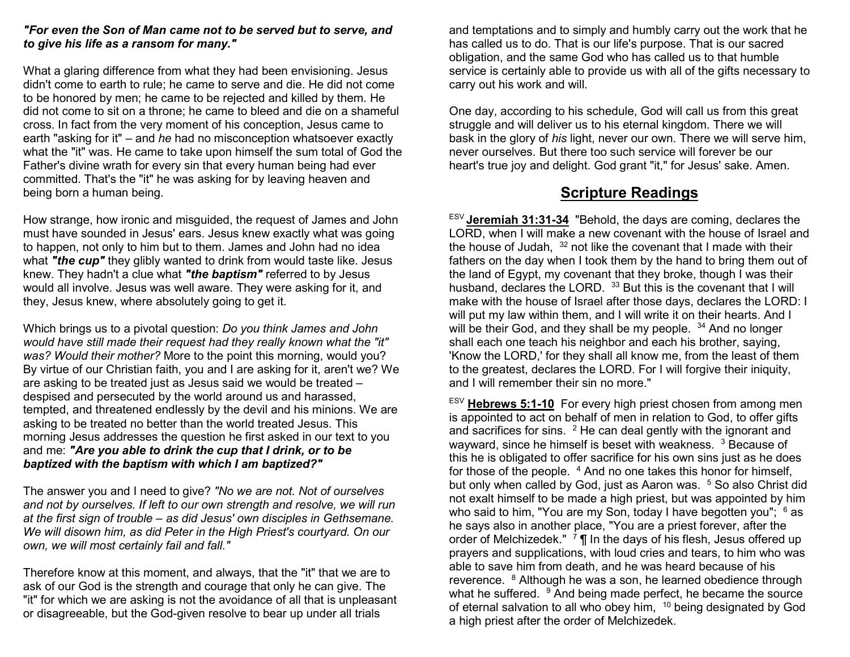#### "For even the Son of Man came not to be served but to serve, and to give his life as a ransom for many."

What a glaring difference from what they had been envisioning. Jesus didn't come to earth to rule; he came to serve and die. He did not come to be honored by men; he came to be rejected and killed by them. He did not come to sit on a throne; he came to bleed and die on a shameful cross. In fact from the very moment of his conception, Jesus came to earth "asking for it" – and he had no misconception whatsoever exactly what the "it" was. He came to take upon himself the sum total of God the Father's divine wrath for every sin that every human being had ever committed. That's the "it" he was asking for by leaving heaven and being born a human being.

How strange, how ironic and misguided, the request of James and John must have sounded in Jesus' ears. Jesus knew exactly what was going to happen, not only to him but to them. James and John had no idea what "the cup" they glibly wanted to drink from would taste like. Jesus knew. They hadn't a clue what "the baptism" referred to by Jesus would all involve. Jesus was well aware. They were asking for it, and they, Jesus knew, where absolutely going to get it.

Which brings us to a pivotal question: Do you think James and John would have still made their request had they really known what the "it" was? Would their mother? More to the point this morning, would you? By virtue of our Christian faith, you and I are asking for it, aren't we? We are asking to be treated just as Jesus said we would be treated – despised and persecuted by the world around us and harassed, tempted, and threatened endlessly by the devil and his minions. We are asking to be treated no better than the world treated Jesus. This morning Jesus addresses the question he first asked in our text to you and me: "Are you able to drink the cup that I drink, or to be baptized with the baptism with which I am baptized?"

The answer you and I need to give? "No we are not. Not of ourselves and not by ourselves. If left to our own strength and resolve, we will run at the first sign of trouble – as did Jesus' own disciples in Gethsemane. We will disown him, as did Peter in the High Priest's courtyard. On our own, we will most certainly fail and fall."

Therefore know at this moment, and always, that the "it" that we are to ask of our God is the strength and courage that only he can give. The "it" for which we are asking is not the avoidance of all that is unpleasant or disagreeable, but the God-given resolve to bear up under all trials

and temptations and to simply and humbly carry out the work that he has called us to do. That is our life's purpose. That is our sacred obligation, and the same God who has called us to that humble service is certainly able to provide us with all of the gifts necessary to carry out his work and will.

One day, according to his schedule, God will call us from this great struggle and will deliver us to his eternal kingdom. There we will bask in the glory of his light, never our own. There we will serve him, never ourselves. But there too such service will forever be our heart's true joy and delight. God grant "it," for Jesus' sake. Amen.

## Scripture Readings

ESV Jeremiah 31:31-34 "Behold, the days are coming, declares the LORD, when I will make a new covenant with the house of Israel and the house of Judah,  $32$  not like the covenant that I made with their fathers on the day when I took them by the hand to bring them out of the land of Egypt, my covenant that they broke, though I was their husband, declares the LORD. <sup>33</sup> But this is the covenant that I will make with the house of Israel after those days, declares the LORD: I will put my law within them, and I will write it on their hearts. And I will be their God, and they shall be my people. <sup>34</sup> And no longer shall each one teach his neighbor and each his brother, saying, 'Know the LORD,' for they shall all know me, from the least of them to the greatest, declares the LORD. For I will forgive their iniquity, and I will remember their sin no more."

 $ESV$  Hebrews 5:1-10 For every high priest chosen from among men is appointed to act on behalf of men in relation to God, to offer gifts and sacrifices for sins.  $2$  He can deal gently with the ignorant and wayward, since he himself is beset with weakness.  $3$  Because of this he is obligated to offer sacrifice for his own sins just as he does for those of the people.  $4$  And no one takes this honor for himself, but only when called by God, just as Aaron was. <sup>5</sup> So also Christ did not exalt himself to be made a high priest, but was appointed by him who said to him, "You are my Son, today I have begotten you";  $^6$  as he says also in another place, "You are a priest forever, after the order of Melchizedek." <sup>7</sup> ¶ In the days of his flesh, Jesus offered up prayers and supplications, with loud cries and tears, to him who was able to save him from death, and he was heard because of his reverence. <sup>8</sup> Although he was a son, he learned obedience through what he suffered. <sup>9</sup> And being made perfect, he became the source of eternal salvation to all who obey him, <sup>10</sup> being designated by God a high priest after the order of Melchizedek.